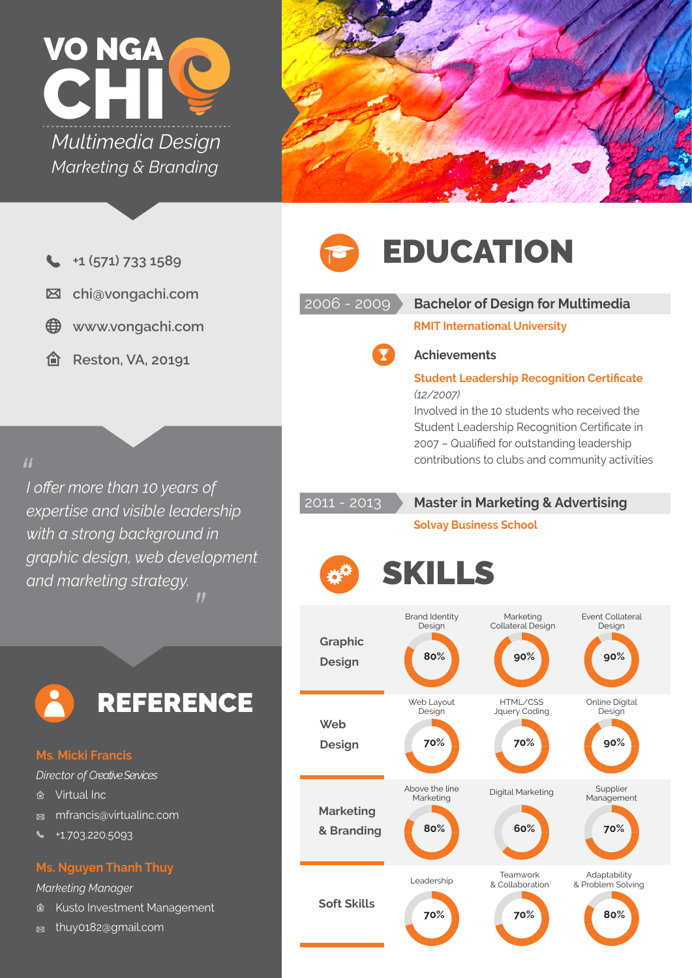



- **+1 (571) 733 1589**
- $\boxtimes$ **chi@vongachi.com**
- ♠ **www.vongachi.com**
- **Reston, VA, 20191** 倫

*I offer more than 10 years of " expertise and visible leadership with a strong background in graphic design, web development and marketing strategy. "*



### **Ms. Micki Francis**

*Director of Creative Services*

- **俞** Virtual Inc
- mfrancis@virtualinc.com
- +1.703.220.5093

### **Ms. Nguyen Thanh Thuy**

*Marketing Manager*

- **企 Kusto Investment Management**
- thuy0182@gmail.com

# EDUCATION

## 2006 - 2009 **Bachelor of Design for Multimedia**

**RMIT International University**



### **Achievements**

**Student Leadership Recognition Certificate**  *(12/2007)*

Involved in the 10 students who received the Student Leadership Recognition Certificate in 2007 – Qualified for outstanding leadership contributions to clubs and community activities

2011 - 2013 **Master in Marketing & Advertising**

### **Solvay Business School**